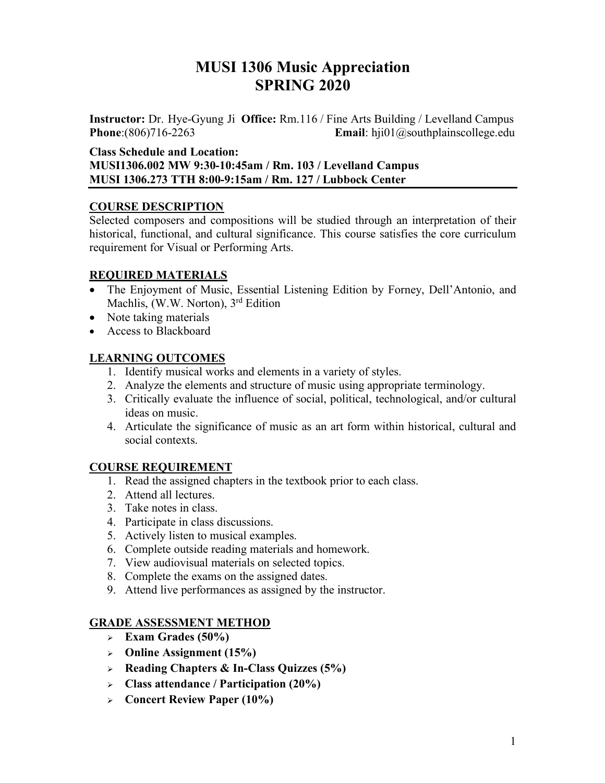# **MUSI 1306 Music Appreciation SPRING 2020**

**Instructor:** Dr. Hye-Gyung Ji **Office:** Rm.116 / Fine Arts Building / Levelland Campus **Phone**:(806)716-2263 **Email**: hji01@southplainscollege.edu

**Class Schedule and Location:** 

**MUSI1306.002 MW 9:30-10:45am / Rm. 103 / Levelland Campus MUSI 1306.273 TTH 8:00-9:15am / Rm. 127 / Lubbock Center** 

## **COURSE DESCRIPTION**

Selected composers and compositions will be studied through an interpretation of their historical, functional, and cultural significance. This course satisfies the core curriculum requirement for Visual or Performing Arts.

## **REQUIRED MATERIALS**

- The Enjoyment of Music, Essential Listening Edition by Forney, Dell'Antonio, and Machlis, (W.W. Norton), 3<sup>rd</sup> Edition
- Note taking materials
- Access to Blackboard

# **LEARNING OUTCOMES**

- 1. Identify musical works and elements in a variety of styles.
- 2. Analyze the elements and structure of music using appropriate terminology.
- 3. Critically evaluate the influence of social, political, technological, and/or cultural ideas on music.
- 4. Articulate the significance of music as an art form within historical, cultural and social contexts.

# **COURSE REQUIREMENT**

- 1. Read the assigned chapters in the textbook prior to each class.
- 2. Attend all lectures.
- 3. Take notes in class.
- 4. Participate in class discussions.
- 5. Actively listen to musical examples.
- 6. Complete outside reading materials and homework.
- 7. View audiovisual materials on selected topics.
- 8. Complete the exams on the assigned dates.
- 9. Attend live performances as assigned by the instructor.

# **GRADE ASSESSMENT METHOD**

- $\epsilon$  **Exam Grades (50%)**
- <sup>Ø</sup> **Online Assignment (15%)**
- <sup>Ø</sup> **Reading Chapters & In-Class Quizzes (5%)**
- <sup>Ø</sup> **Class attendance / Participation (20%)**
- <sup>Ø</sup> **Concert Review Paper (10%)**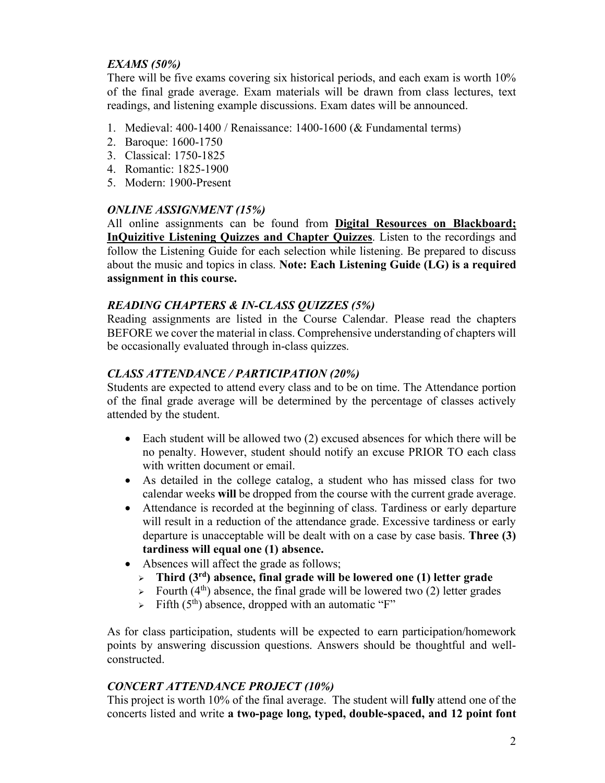### *EXAMS (50%)*

There will be five exams covering six historical periods, and each exam is worth 10% of the final grade average. Exam materials will be drawn from class lectures, text readings, and listening example discussions. Exam dates will be announced.

- 1. Medieval: 400-1400 / Renaissance: 1400-1600 (& Fundamental terms)
- 2. Baroque: 1600-1750
- 3. Classical: 1750-1825
- 4. Romantic: 1825-1900
- 5. Modern: 1900-Present

#### *ONLINE ASSIGNMENT (15%)*

All online assignments can be found from **Digital Resources on Blackboard; InQuizitive Listening Quizzes and Chapter Quizzes**. Listen to the recordings and follow the Listening Guide for each selection while listening. Be prepared to discuss about the music and topics in class. **Note: Each Listening Guide (LG) is a required assignment in this course.** 

#### *READING CHAPTERS & IN-CLASS QUIZZES (5%)*

Reading assignments are listed in the Course Calendar. Please read the chapters BEFORE we cover the material in class. Comprehensive understanding of chapters will be occasionally evaluated through in-class quizzes.

#### *CLASS ATTENDANCE / PARTICIPATION (20%)*

Students are expected to attend every class and to be on time. The Attendance portion of the final grade average will be determined by the percentage of classes actively attended by the student.

- Each student will be allowed two (2) excused absences for which there will be no penalty. However, student should notify an excuse PRIOR TO each class with written document or email.
- As detailed in the college catalog, a student who has missed class for two calendar weeks **will** be dropped from the course with the current grade average.
- Attendance is recorded at the beginning of class. Tardiness or early departure will result in a reduction of the attendance grade. Excessive tardiness or early departure is unacceptable will be dealt with on a case by case basis. **Three (3) tardiness will equal one (1) absence.**
- Absences will affect the grade as follows;
	- <sup>Ø</sup> **Third (3rd) absence, final grade will be lowered one (1) letter grade**
	- $\triangleright$  Fourth (4<sup>th</sup>) absence, the final grade will be lowered two (2) letter grades
	- $\triangleright$  Fifth (5<sup>th</sup>) absence, dropped with an automatic "F"

As for class participation, students will be expected to earn participation/homework points by answering discussion questions. Answers should be thoughtful and wellconstructed.

#### *CONCERT ATTENDANCE PROJECT (10%)*

This project is worth 10% of the final average. The student will **fully** attend one of the concerts listed and write **a two-page long, typed, double-spaced, and 12 point font**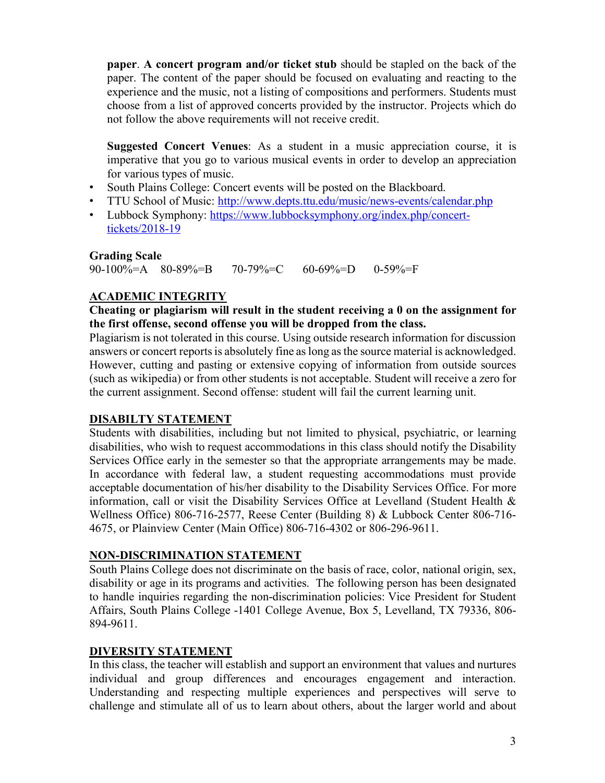**paper**. **A concert program and/or ticket stub** should be stapled on the back of the paper. The content of the paper should be focused on evaluating and reacting to the experience and the music, not a listing of compositions and performers. Students must choose from a list of approved concerts provided by the instructor. Projects which do not follow the above requirements will not receive credit.

**Suggested Concert Venues**: As a student in a music appreciation course, it is imperative that you go to various musical events in order to develop an appreciation for various types of music.

- South Plains College: Concert events will be posted on the Blackboard.
- TTU School of Music: http://www.depts.ttu.edu/music/news-events/calendar.php
- Lubbock Symphony: https://www.lubbocksymphony.org/index.php/concerttickets/2018-19

#### **Grading Scale**

90-100%=A 80-89%=B 70-79%=C 60-69%=D 0-59%=F

# **ACADEMIC INTEGRITY**

#### **Cheating or plagiarism will result in the student receiving a 0 on the assignment for the first offense, second offense you will be dropped from the class.**

Plagiarism is not tolerated in this course. Using outside research information for discussion answers or concert reports is absolutely fine as long as the source material is acknowledged. However, cutting and pasting or extensive copying of information from outside sources (such as wikipedia) or from other students is not acceptable. Student will receive a zero for the current assignment. Second offense: student will fail the current learning unit.

#### **DISABILTY STATEMENT**

Students with disabilities, including but not limited to physical, psychiatric, or learning disabilities, who wish to request accommodations in this class should notify the Disability Services Office early in the semester so that the appropriate arrangements may be made. In accordance with federal law, a student requesting accommodations must provide acceptable documentation of his/her disability to the Disability Services Office. For more information, call or visit the Disability Services Office at Levelland (Student Health & Wellness Office) 806-716-2577, Reese Center (Building 8) & Lubbock Center 806-716- 4675, or Plainview Center (Main Office) 806-716-4302 or 806-296-9611.

#### **NON-DISCRIMINATION STATEMENT**

South Plains College does not discriminate on the basis of race, color, national origin, sex, disability or age in its programs and activities. The following person has been designated to handle inquiries regarding the non-discrimination policies: Vice President for Student Affairs, South Plains College -1401 College Avenue, Box 5, Levelland, TX 79336, 806- 894-9611.

#### **DIVERSITY STATEMENT**

In this class, the teacher will establish and support an environment that values and nurtures individual and group differences and encourages engagement and interaction. Understanding and respecting multiple experiences and perspectives will serve to challenge and stimulate all of us to learn about others, about the larger world and about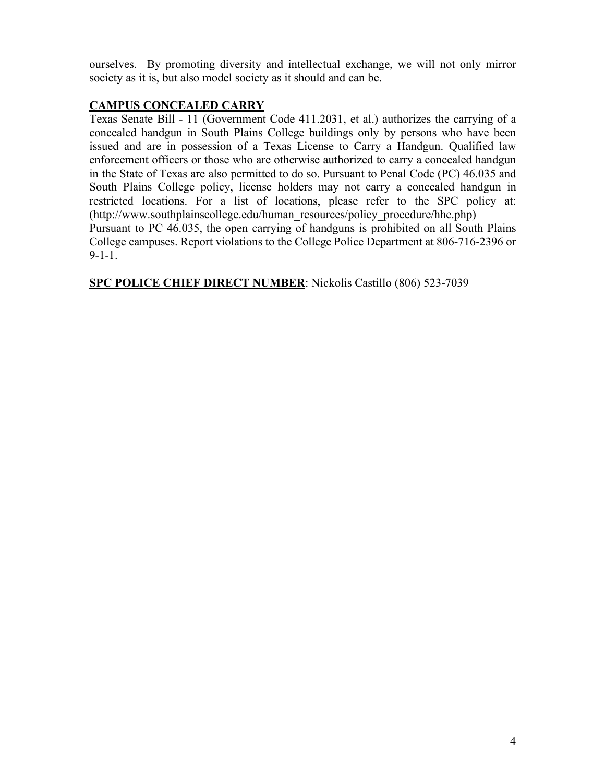ourselves. By promoting diversity and intellectual exchange, we will not only mirror society as it is, but also model society as it should and can be.

### **CAMPUS CONCEALED CARRY**

Texas Senate Bill - 11 (Government Code 411.2031, et al.) authorizes the carrying of a concealed handgun in South Plains College buildings only by persons who have been issued and are in possession of a Texas License to Carry a Handgun. Qualified law enforcement officers or those who are otherwise authorized to carry a concealed handgun in the State of Texas are also permitted to do so. Pursuant to Penal Code (PC) 46.035 and South Plains College policy, license holders may not carry a concealed handgun in restricted locations. For a list of locations, please refer to the SPC policy at: (http://www.southplainscollege.edu/human\_resources/policy\_procedure/hhc.php)

Pursuant to PC 46.035, the open carrying of handguns is prohibited on all South Plains College campuses. Report violations to the College Police Department at 806-716-2396 or 9-1-1.

**SPC POLICE CHIEF DIRECT NUMBER**: Nickolis Castillo (806) 523-7039